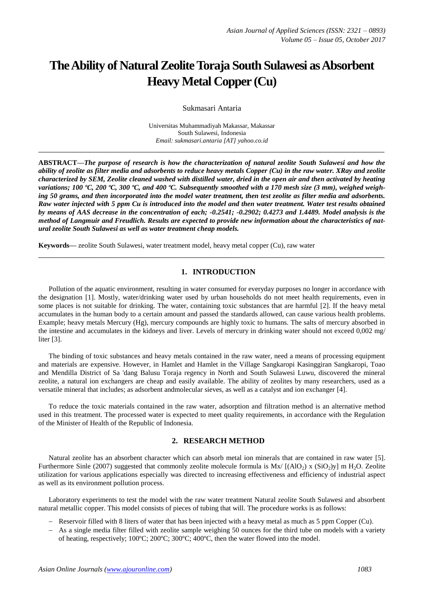# **The Ability of Natural Zeolite Toraja South Sulawesi as Absorbent Heavy Metal Copper (Cu)**

Sukmasari Antaria

Universitas Muhammadiyah Makassar, Makassar South Sulawesi, Indonesia *Email: sukmasari.antaria [AT] yahoo.co.id*

**\_\_\_\_\_\_\_\_\_\_\_\_\_\_\_\_\_\_\_\_\_\_\_\_\_\_\_\_\_\_\_\_\_\_\_\_\_\_\_\_\_\_\_\_\_\_\_\_\_\_\_\_\_\_\_\_\_\_\_\_\_\_\_\_\_\_\_\_\_\_\_\_\_\_\_\_\_\_\_\_\_**

**ABSTRACT—***The purpose of research is how the characterization of natural zeolite South Sulawesi and how the ability of zeolite as filter media and adsorbents to reduce heavy metals Copper (Cu) in the raw water. XRay and zeolite characterized by SEM, Zeolite cleaned washed with distilled water, dried in the open air and then activated by heating variations; 100 ºC, 200 ºC, 300 ºC, and 400 ºC. Subsequently smoothed with a 170 mesh size (3 mm), weighed weighing 50 grams, and then incorporated into the model water treatment, then test zeolite as filter media and adsorbents. Raw water injected with 5 ppm Cu is introduced into the model and then water treatment. Water test results obtained by means of AAS decrease in the concentration of each; -0.2541; -0.2902; 0.4273 and 1.4489. Model analysis is the method of Langmuir and Freudlich. Results are expected to provide new information about the characteristics of natural zeolite South Sulawesi as well as water treatment cheap models.*

**Keywords—** zeolite South Sulawesi, water treatment model, heavy metal copper (Cu), raw water

## **1. INTRODUCTION**

**\_\_\_\_\_\_\_\_\_\_\_\_\_\_\_\_\_\_\_\_\_\_\_\_\_\_\_\_\_\_\_\_\_\_\_\_\_\_\_\_\_\_\_\_\_\_\_\_\_\_\_\_\_\_\_\_\_\_\_\_\_\_\_\_\_\_\_\_\_\_\_\_\_\_\_\_\_\_\_\_\_**

Pollution of the aquatic environment, resulting in water consumed for everyday purposes no longer in accordance with the designation [1]. Mostly, water/drinking water used by urban households do not meet health requirements, even in some places is not suitable for drinking. The water, containing toxic substances that are harmful [2]. If the heavy metal accumulates in the human body to a certain amount and passed the standards allowed, can cause various health problems. Example; heavy metals Mercury (Hg), mercury compounds are highly toxic to humans. The salts of mercury absorbed in the intestine and accumulates in the kidneys and liver. Levels of mercury in drinking water should not exceed 0,002 mg/ liter [3].

The binding of toxic substances and heavy metals contained in the raw water, need a means of processing equipment and materials are expensive. However, in Hamlet and Hamlet in the Village Sangkaropi Kasinggiran Sangkaropi, Toao and Mendilla District of Sa 'dang Balusu Toraja regency in North and South Sulawesi Luwu, discovered the mineral zeolite, a natural ion exchangers are cheap and easily available. The ability of zeolites by many researchers, used as a versatile mineral that includes; as adsorbent andmolecular sieves, as well as a catalyst and ion exchanger [4].

To reduce the toxic materials contained in the raw water, adsorption and filtration method is an alternative method used in this treatment. The processed water is expected to meet quality requirements, in accordance with the Regulation of the Minister of Health of the Republic of Indonesia.

## **2. RESEARCH METHOD**

Natural zeolite has an absorbent character which can absorb metal ion minerals that are contained in raw water [5]. Furthermore Sinle (2007) suggested that commonly zeolite molecule formula is  $Mx/[(AlO<sub>2</sub>) x (SiO<sub>2</sub>)y]$  m H<sub>2</sub>O. Zeolite utilization for various applications especially was directed to increasing effectiveness and efficiency of industrial aspect as well as its environment pollution process.

Laboratory experiments to test the model with the raw water treatment Natural zeolite South Sulawesi and absorbent natural metallic copper. This model consists of pieces of tubing that will. The procedure works is as follows:

- Reservoir filled with 8 liters of water that has been injected with a heavy metal as much as 5 ppm Copper (Cu).
- As a single media filter filled with zeolite sample weighing 50 ounces for the third tube on models with a variety of heating, respectively; 100ºC; 200ºC; 300ºC; 400ºC, then the water flowed into the model.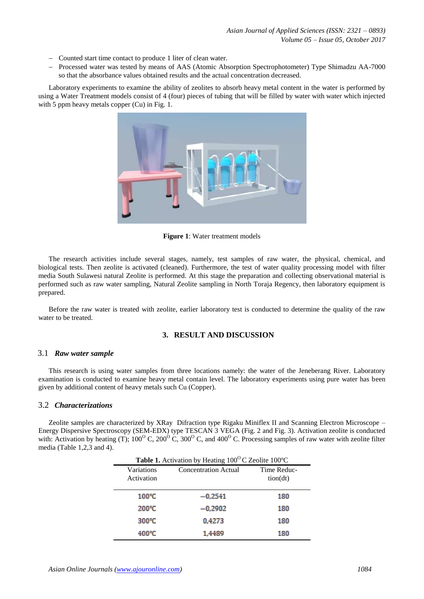- Counted start time contact to produce 1 liter of clean water.
- Processed water was tested by means of AAS (Atomic Absorption Spectrophotometer) Type Shimadzu AA-7000 so that the absorbance values obtained results and the actual concentration decreased.

Laboratory experiments to examine the ability of zeolites to absorb heavy metal content in the water is performed by using a Water Treatment models consist of 4 (four) pieces of tubing that will be filled by water with water which injected with 5 ppm heavy metals copper (Cu) in Fig. 1.



**Figure 1**: Water treatment models

The research activities include several stages, namely, test samples of raw water, the physical, chemical, and biological tests. Then zeolite is activated (cleaned). Furthermore, the test of water quality processing model with filter media South Sulawesi natural Zeolite is performed. At this stage the preparation and collecting observational material is performed such as raw water sampling, Natural Zeolite sampling in North Toraja Regency, then laboratory equipment is prepared.

Before the raw water is treated with zeolite, earlier laboratory test is conducted to determine the quality of the raw water to be treated.

## **3. RESULT AND DISCUSSION**

#### 3.1 *Raw water sample*

This research is using water samples from three locations namely: the water of the Jeneberang River. Laboratory examination is conducted to examine heavy metal contain level. The laboratory experiments using pure water has been given by additional content of heavy metals such Cu (Copper).

## 3.2 *Characterizations*

Zeolite samples are characterized by XRay Difraction type Rigaku Miniflex II and Scanning Electron Microscope – Energy Dispersive Spectroscopy (SEM-EDX) type TESCAN 3 VEGA (Fig. 2 and Fig. 3). Activation zeolite is conducted with: Activation by heating (T);  $100^{\circ}$  C,  $200^{\circ}$  C,  $300^{\circ}$  C, and  $400^{\circ}$  C. Processing samples of raw water with zeolite filter media (Table 1,2,3 and 4).

| Table 1. Activation by Heating 100°C Zeolite 100°C |                             |                         |  |
|----------------------------------------------------|-----------------------------|-------------------------|--|
| Variations<br>Activation                           | <b>Concentration Actual</b> | Time Reduc-<br>tion(dt) |  |
| $100^{\circ}$ C                                    | $-0.2541$                   | 180                     |  |
| 200°C                                              | $-0,2902$                   | 180                     |  |
| 300°C                                              | 0,4273                      | 180                     |  |
| 400°C                                              | 1.4489                      | 180                     |  |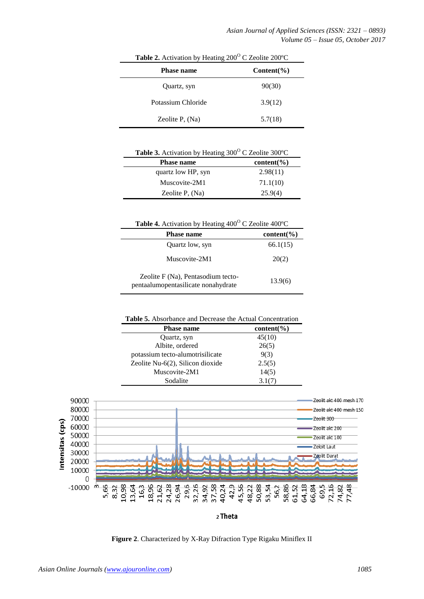| <b>Table 2.</b> Treasured by Heading 200 $\sim$ Econic 200 $\sim$<br><b>Phase name</b> | $Content(\% )$ |
|----------------------------------------------------------------------------------------|----------------|
| Quartz, syn                                                                            | 90(30)         |
| Potassium Chloride                                                                     | 3.9(12)        |
| Zeolite $P$ , $(Na)$                                                                   | 5.7(18)        |

**Table 2.** Activation by Heating 200<sup>°</sup>C Zeolite 200<sup>°</sup>C

| <b>Table 3.</b> Activation by Heating $300^{\circ}$ C Zeolite $300^{\circ}$ C |               |  |
|-------------------------------------------------------------------------------|---------------|--|
| <b>Phase name</b>                                                             | $content(\%)$ |  |
| quartz low HP, syn                                                            | 2.98(11)      |  |
| Muscovite-2M1                                                                 | 71.1(10)      |  |
| Zeolite P, $(Na)$                                                             | 25.9(4)       |  |
|                                                                               |               |  |

Table 4. Activation by Heating 400°C Zeolite 400°C

| <b>Phase name</b>                                                         | $content(\%)$ |
|---------------------------------------------------------------------------|---------------|
| Quartz low, syn                                                           | 66.1(15)      |
| Muscovite-2M1                                                             | 20(2)         |
| Zeolite F (Na), Pentasodium tecto-<br>pentaalumopentasilicate nonahydrate | 13.9(6)       |

| <b>Table 5.</b> Absorbance and Decrease the Actual Concentration |                 |  |
|------------------------------------------------------------------|-----------------|--|
| <b>Phase name</b>                                                | content( $\%$ ) |  |
| Quartz, syn                                                      | 45(10)          |  |
| Albite, ordered                                                  | 26(5)           |  |
| potassium tecto-alumotrisilicate                                 | 9(3)            |  |
| Zeolite Nu- $6(2)$ , Silicon dioxide                             | 2.5(5)          |  |
| Muscovite-2M1                                                    | 14(5)           |  |
| Sodalite                                                         | 3.1(7)          |  |



**Figure 2**. Characterized by X-Ray Difraction Type Rigaku Miniflex II